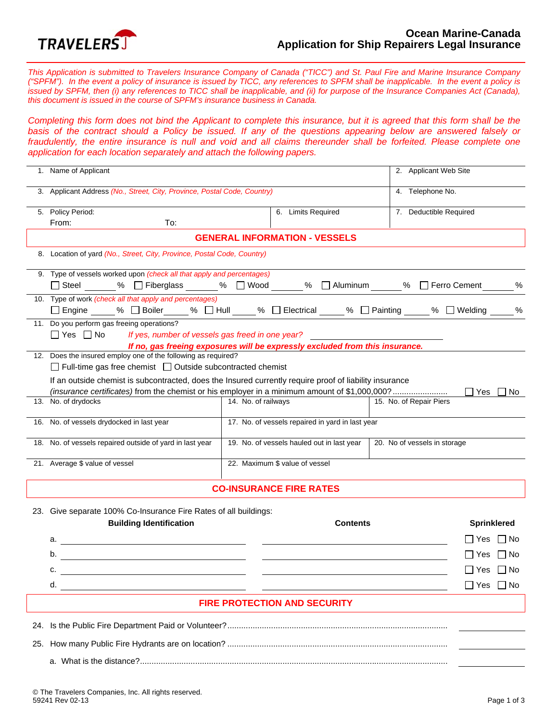

*This Application is submitted to Travelers Insurance Company of Canada ("TICC") and St. Paul Fire and Marine Insurance Company ("SPFM"). In the event a policy of insurance is issued by TICC, any references to SPFM shall be inapplicable. In the event a policy is issued by SPFM, then (i) any references to TICC shall be inapplicable, and (ii) for purpose of the Insurance Companies Act (Canada), this document is issued in the course of SPFM's insurance business in Canada.* 

*Completing this form does not bind the Applicant to complete this insurance, but it is agreed that this form shall be the*  basis of the contract should a Policy be issued. If any of the questions appearing below are answered falsely or fraudulently, the entire insurance is null and void and all claims thereunder shall be forfeited. Please complete one *application for each location separately and attach the following papers.* 

|                                     | 1. Name of Applicant                                                                                                                                                                                                    |                                                                            |                                                  | 2. Applicant Web Site   |                      |  |  |  |
|-------------------------------------|-------------------------------------------------------------------------------------------------------------------------------------------------------------------------------------------------------------------------|----------------------------------------------------------------------------|--------------------------------------------------|-------------------------|----------------------|--|--|--|
|                                     | 3. Applicant Address (No., Street, City, Province, Postal Code, Country)                                                                                                                                                |                                                                            |                                                  |                         | 4. Telephone No.     |  |  |  |
|                                     | 5. Policy Period:                                                                                                                                                                                                       |                                                                            | 6. Limits Required                               | 7. Deductible Required  |                      |  |  |  |
|                                     | From:<br>To:                                                                                                                                                                                                            |                                                                            |                                                  |                         |                      |  |  |  |
|                                     | <b>GENERAL INFORMATION - VESSELS</b>                                                                                                                                                                                    |                                                                            |                                                  |                         |                      |  |  |  |
|                                     | 8. Location of yard (No., Street, City, Province, Postal Code, Country)                                                                                                                                                 |                                                                            |                                                  |                         |                      |  |  |  |
|                                     | 9. Type of vessels worked upon (check all that apply and percentages)<br>□ Steel ______ % □ Fiberglass ______ % □ Wood ______ % □ Aluminum _____ % □ Ferro Cement _                                                     |                                                                            |                                                  |                         | $\%$                 |  |  |  |
|                                     | 10. Type of work (check all that apply and percentages)<br>□ Engine _____% □ Boiler _____% □ Hull _____% □ Electrical _____% □ Painting _____ % □ Welding ____                                                          |                                                                            |                                                  |                         | %                    |  |  |  |
|                                     | 11. Do you perform gas freeing operations?<br>$\Box$ Yes $\Box$ No<br>If yes, number of vessels gas freed in one year?                                                                                                  |                                                                            |                                                  |                         |                      |  |  |  |
|                                     | If no, gas freeing exposures will be expressly excluded from this insurance.<br>12. Does the insured employ one of the following as required?<br>$\Box$ Full-time gas free chemist $\Box$ Outside subcontracted chemist |                                                                            |                                                  |                         |                      |  |  |  |
|                                     | If an outside chemist is subcontracted, does the Insured currently require proof of liability insurance                                                                                                                 |                                                                            |                                                  |                         |                      |  |  |  |
|                                     | (insurance certificates) from the chemist or his employer in a minimum amount of \$1,000,000?<br>13. No. of drydocks                                                                                                    | 14. No. of railways                                                        |                                                  | 15. No. of Repair Piers | $\Box$ Yes $\Box$ No |  |  |  |
|                                     |                                                                                                                                                                                                                         |                                                                            |                                                  |                         |                      |  |  |  |
|                                     | 16. No. of vessels drydocked in last year                                                                                                                                                                               |                                                                            | 17. No. of vessels repaired in yard in last year |                         |                      |  |  |  |
|                                     | 18. No. of vessels repaired outside of yard in last year                                                                                                                                                                | 19. No. of vessels hauled out in last year<br>20. No of vessels in storage |                                                  |                         |                      |  |  |  |
|                                     | 21. Average \$ value of vessel                                                                                                                                                                                          |                                                                            | 22. Maximum \$ value of vessel                   |                         |                      |  |  |  |
| <b>CO-INSURANCE FIRE RATES</b>      |                                                                                                                                                                                                                         |                                                                            |                                                  |                         |                      |  |  |  |
|                                     | 23. Give separate 100% Co-Insurance Fire Rates of all buildings:                                                                                                                                                        |                                                                            |                                                  |                         |                      |  |  |  |
|                                     | <b>Building Identification</b>                                                                                                                                                                                          |                                                                            | <b>Contents</b>                                  |                         | <b>Sprinklered</b>   |  |  |  |
|                                     | а.<br><u> 1989 - Johann Stoff, Amerikaansk politiker (</u>                                                                                                                                                              |                                                                            |                                                  |                         | $\Box$ Yes $\Box$ No |  |  |  |
|                                     | b.                                                                                                                                                                                                                      |                                                                            |                                                  |                         | $\Box$ No<br>l I Yes |  |  |  |
|                                     |                                                                                                                                                                                                                         |                                                                            |                                                  |                         |                      |  |  |  |
|                                     | c.                                                                                                                                                                                                                      |                                                                            |                                                  |                         | $\Box$ Yes $\Box$ No |  |  |  |
|                                     | d.                                                                                                                                                                                                                      |                                                                            |                                                  |                         | $\Box$ Yes $\Box$ No |  |  |  |
| <b>FIRE PROTECTION AND SECURITY</b> |                                                                                                                                                                                                                         |                                                                            |                                                  |                         |                      |  |  |  |
|                                     |                                                                                                                                                                                                                         |                                                                            |                                                  |                         |                      |  |  |  |
|                                     |                                                                                                                                                                                                                         |                                                                            |                                                  |                         |                      |  |  |  |
|                                     |                                                                                                                                                                                                                         |                                                                            |                                                  |                         |                      |  |  |  |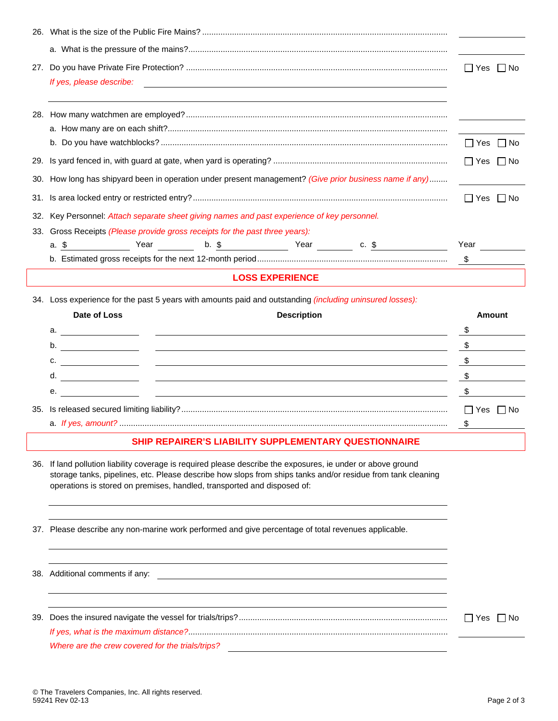|     |                                                                                                                                                                                                                                                                                                        | $\Box$ Yes $\Box$ No |  |  |  |  |
|-----|--------------------------------------------------------------------------------------------------------------------------------------------------------------------------------------------------------------------------------------------------------------------------------------------------------|----------------------|--|--|--|--|
|     | If yes, please describe:<br><u> 1980 - Jan Barnett, fransk politik (d. 1980)</u>                                                                                                                                                                                                                       |                      |  |  |  |  |
|     |                                                                                                                                                                                                                                                                                                        |                      |  |  |  |  |
|     |                                                                                                                                                                                                                                                                                                        |                      |  |  |  |  |
|     |                                                                                                                                                                                                                                                                                                        |                      |  |  |  |  |
|     |                                                                                                                                                                                                                                                                                                        | $\Box$ Yes $\Box$ No |  |  |  |  |
|     |                                                                                                                                                                                                                                                                                                        |                      |  |  |  |  |
| 30. | How long has shipyard been in operation under present management? (Give prior business name if any)                                                                                                                                                                                                    |                      |  |  |  |  |
|     |                                                                                                                                                                                                                                                                                                        |                      |  |  |  |  |
|     | $\Box$ Yes $\Box$ No                                                                                                                                                                                                                                                                                   |                      |  |  |  |  |
|     | 32. Key Personnel: Attach separate sheet giving names and past experience of key personnel.<br>33. Gross Receipts (Please provide gross receipts for the past three years):                                                                                                                            |                      |  |  |  |  |
|     | Year <b>b. \$</b> Year <b>C. \$</b> C. 5<br>a. \$                                                                                                                                                                                                                                                      | Year                 |  |  |  |  |
|     |                                                                                                                                                                                                                                                                                                        | $\mathsf{S}$         |  |  |  |  |
|     | <b>LOSS EXPERIENCE</b>                                                                                                                                                                                                                                                                                 |                      |  |  |  |  |
|     |                                                                                                                                                                                                                                                                                                        |                      |  |  |  |  |
|     |                                                                                                                                                                                                                                                                                                        |                      |  |  |  |  |
|     | 34. Loss experience for the past 5 years with amounts paid and outstanding (including uninsured losses):                                                                                                                                                                                               |                      |  |  |  |  |
|     | Date of Loss<br><b>Description</b>                                                                                                                                                                                                                                                                     | Amount               |  |  |  |  |
|     | a. $\overline{\phantom{a}}$                                                                                                                                                                                                                                                                            | \$                   |  |  |  |  |
|     | b.<br><u> 1989 - Johann John Stone, markin film og store for de former og det for de former og det for de former og de</u>                                                                                                                                                                             | \$                   |  |  |  |  |
|     | с.<br><u> 1989 - Johann John Stone, meny ambany amin'ny fivondronan-kaominin'i Paris (no ben'ny faritr'i Nord-Amerika</u>                                                                                                                                                                              | \$                   |  |  |  |  |
|     | d.<br><u> 1989 - Johann John Stein, fransk kongresu (f. 1989)</u>                                                                                                                                                                                                                                      | \$                   |  |  |  |  |
|     | <u> 1980 - John Stein, mars et al. (b. 1980).</u><br>е.                                                                                                                                                                                                                                                | \$                   |  |  |  |  |
|     |                                                                                                                                                                                                                                                                                                        | $\Box$ Yes<br>∣ I No |  |  |  |  |
|     |                                                                                                                                                                                                                                                                                                        | \$                   |  |  |  |  |
|     | SHIP REPAIRER'S LIABILITY SUPPLEMENTARY QUESTIONNAIRE                                                                                                                                                                                                                                                  |                      |  |  |  |  |
|     | 36. If land pollution liability coverage is required please describe the exposures, ie under or above ground<br>storage tanks, pipelines, etc. Please describe how slops from ships tanks and/or residue from tank cleaning<br>operations is stored on premises, handled, transported and disposed of: |                      |  |  |  |  |
|     | 37. Please describe any non-marine work performed and give percentage of total revenues applicable.                                                                                                                                                                                                    |                      |  |  |  |  |

39. Does the insured navigate the vessel for trials/trips?........................................................................................... Yes No *If yes, what is the maximum distance?*................................................................................................................. *Where are the crew covered for the trials/trips?* 

38. Additional comments if any: